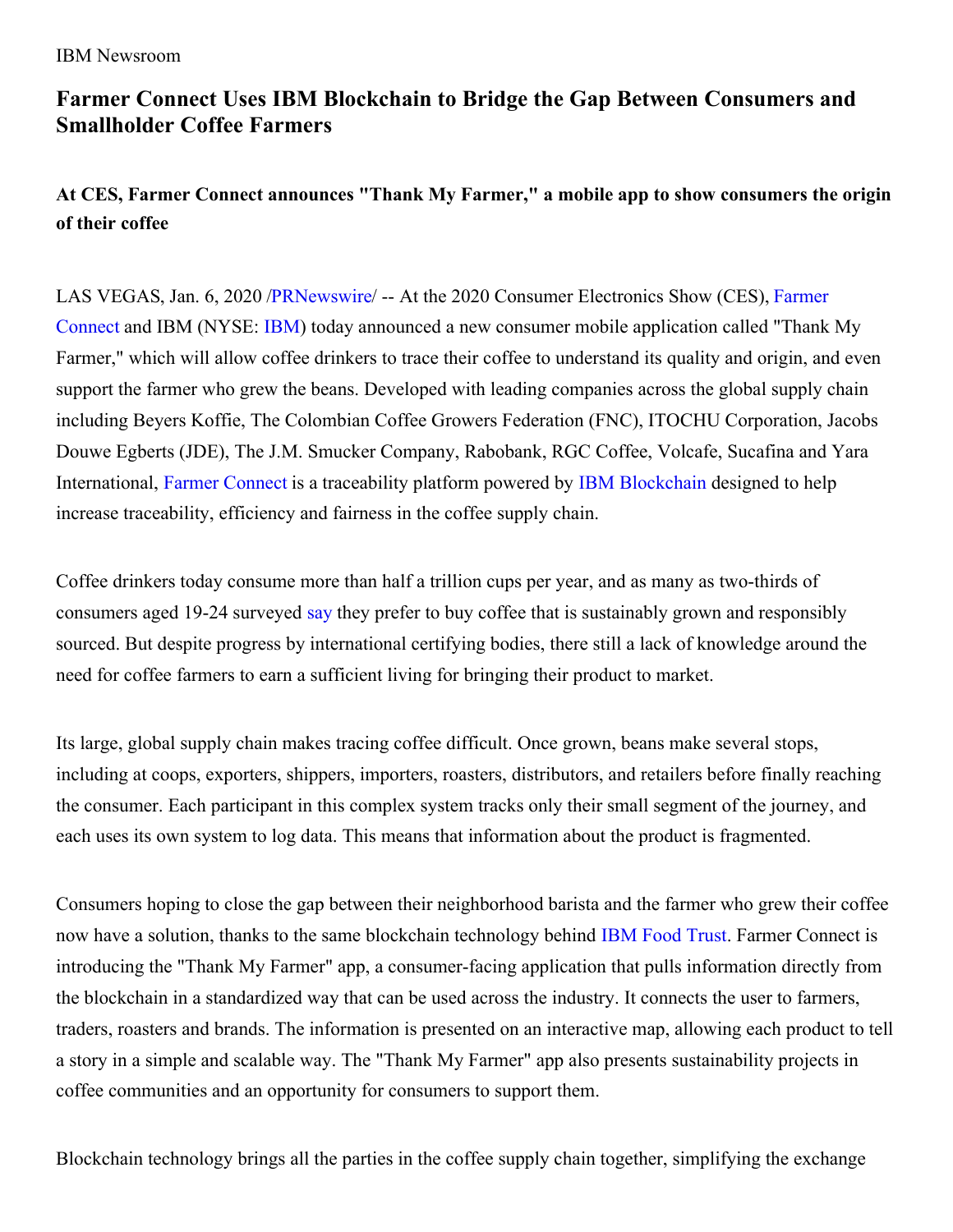#### IBM Newsroom

# **Farmer Connect Uses IBM Blockchain to Bridge the Gap Between Consumers and Smallholder Coffee Farmers**

## **At CES, Farmer Connect announces "Thank My Farmer," a mobile app to show consumers the origin of their coffee**

LAS VEGAS, Jan. 6, 2020 [/PRNewswire/](https://c212.net/c/link/?t=0&l=en&o=2682221-1&h=853281420&u=https%3A%2F%2Ffarmerconnect.com%2F&a=Farmer+Connect) -- At the 2020 Consumer Electronics Show (CES), Farmer Connect and IBM (NYSE: [IBM](https://c212.net/c/link/?t=0&l=en&o=2682221-1&h=2851915127&u=https%3A%2F%2Fwww.ibm.com%2Finvestor%2F&a=IBM)) today announced a new consumer mobile application called "Thank My Farmer," which will allow coffee drinkers to trace their coffee to understand its quality and origin, and even support the farmer who grew the beans. Developed with leading companies across the global supply chain including Beyers Koffie, The Colombian Coffee Growers Federation (FNC), ITOCHU Corporation, Jacobs Douwe Egberts (JDE), The J.M. Smucker Company, Rabobank, RGC Coffee, Volcafe, Sucafina and Yara International, Farmer [Connect](https://c212.net/c/link/?t=0&l=en&o=2682221-1&h=853281420&u=https%3A%2F%2Ffarmerconnect.com%2F&a=Farmer+Connect) is a traceability platform powered by IBM [Blockchain](https://c212.net/c/link/?t=0&l=en&o=2682221-1&h=3994597482&u=https%3A%2F%2Fwww.ibm.com%2Fblockchain&a=IBM+Blockchain) designed to help increase traceability, efficiency and fairness in the coffee supply chain.

Coffee drinkers today consume more than half a trillion cups per year, and as many as two-thirds of consumers aged 19-24 surveyed [say](https://c212.net/c/link/?t=0&l=en&o=2682221-1&h=2812446916&u=https%3A%2F%2Fwww.ft.com%2Fcontent%2Fa3f69e50-51c8-11e7-a1f2-db19572361bb&a=say) they prefer to buy coffee that is sustainably grown and responsibly sourced. But despite progress by international certifying bodies, there still a lack of knowledge around the need for coffee farmers to earn a sufficient living for bringing their product to market.

Its large, global supply chain makes tracing coffee difficult. Once grown, beans make several stops, including at coops, exporters, shippers, importers, roasters, distributors, and retailers before finally reaching the consumer. Each participant in this complex system tracks only their small segment of the journey, and each uses its own system to log data. This means that information about the product is fragmented.

Consumers hoping to close the gap between their neighborhood barista and the farmer who grew their coffee now have a solution, thanks to the same blockchain technology behind IBM Food [Trust](https://c212.net/c/link/?t=0&l=en&o=2682221-1&h=2706455983&u=https%3A%2F%2Fwww.ibm.com%2Fblockchain%2Fsolutions%2Ffood-trust&a=IBM+Food+Trust). Farmer Connect is introducing the "Thank My Farmer" app, a consumer-facing application that pulls information directly from the blockchain in a standardized way that can be used across the industry. It connects the user to farmers, traders, roasters and brands. The information is presented on an interactive map, allowing each product to tell a story in a simple and scalable way. The "Thank My Farmer" app also presents sustainability projects in coffee communities and an opportunity for consumers to support them.

Blockchain technology brings all the parties in the coffee supply chain together, simplifying the exchange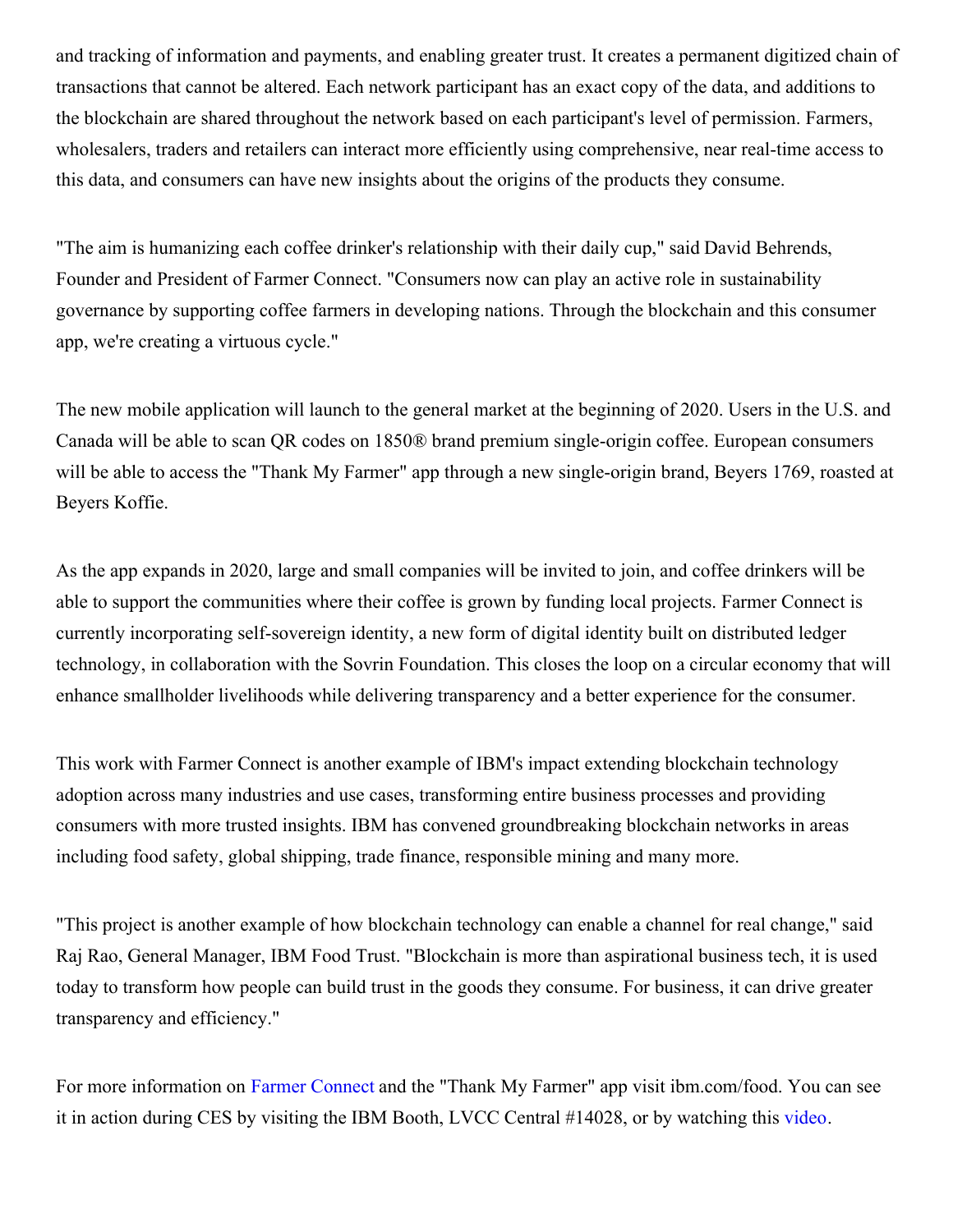and tracking of information and payments, and enabling greater trust. It creates a permanent digitized chain of transactions that cannot be altered. Each network participant has an exact copy of the data, and additions to the blockchain are shared throughout the network based on each participant's level of permission. Farmers, wholesalers, traders and retailers can interact more efficiently using comprehensive, near real-time access to this data, and consumers can have new insights about the origins of the products they consume.

"The aim is humanizing each coffee drinker's relationship with their daily cup," said David Behrends, Founder and President of Farmer Connect. "Consumers now can play an active role in sustainability governance by supporting coffee farmers in developing nations. Through the blockchain and this consumer app, we're creating a virtuous cycle."

The new mobile application will launch to the general market at the beginning of 2020. Users in the U.S. and Canada will be able to scan QR codes on 1850® brand premium single-origin coffee. European consumers will be able to access the "Thank My Farmer" app through a new single-origin brand, Beyers 1769, roasted at Beyers Koffie.

As the app expands in 2020, large and small companies will be invited to join, and coffee drinkers will be able to support the communities where their coffee is grown by funding local projects. Farmer Connect is currently incorporating self-sovereign identity, a new form of digital identity built on distributed ledger technology, in collaboration with the Sovrin Foundation. This closes the loop on a circular economy that will enhance smallholder livelihoods while delivering transparency and a better experience for the consumer.

This work with Farmer Connect is another example of IBM's impact extending blockchain technology adoption across many industries and use cases, transforming entire business processes and providing consumers with more trusted insights. IBM has convened groundbreaking blockchain networks in areas including food safety, global shipping, trade finance, responsible mining and many more.

"This project is another example of how blockchain technology can enable a channel for real change," said Raj Rao, General Manager, IBM Food Trust. "Blockchain is more than aspirational business tech, it is used today to transform how people can build trust in the goods they consume. For business, it can drive greater transparency and efficiency."

For more information on Farmer [Connect](https://c212.net/c/link/?t=0&l=en&o=2682221-1&h=853281420&u=https%3A%2F%2Ffarmerconnect.com%2F&a=Farmer+Connect) and the "Thank My Farmer" app visit ibm.com/food. You can see it in action during CES by visiting the IBM Booth, LVCC Central #14028, or by watching this [video](https://c212.net/c/link/?t=0&l=en&o=2682221-1&h=1984561241&u=https%3A%2F%2Fyoutu.be%2F8WWUq8ojSPU&a=video).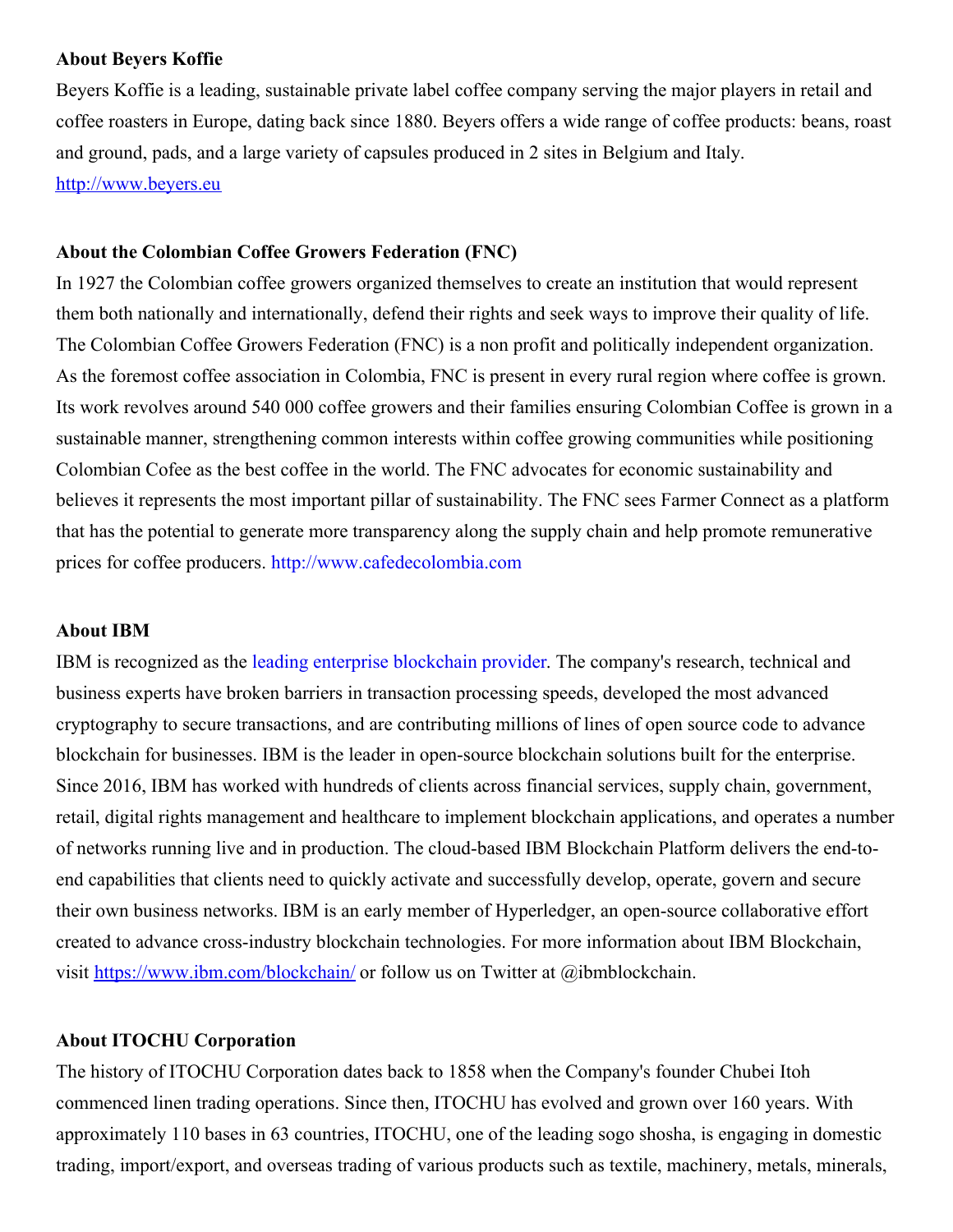## **About Beyers Koffie**

Beyers Koffie is a leading, sustainable private label coffee company serving the major players in retail and coffee roasters in Europe, dating back since 1880. Beyers offers a wide range of coffee products: beans, roast and ground, pads, and a large variety of capsules produced in 2 sites in Belgium and Italy. [http://www.beyers.eu](https://c212.net/c/link/?t=0&l=en&o=2682221-1&h=2208840164&u=http%3A%2F%2Fwww.beyers.eu%2F&a=http%3A%2F%2Fwww.beyers.eu)

## **About the Colombian Coffee Growers Federation (FNC)**

In 1927 the Colombian coffee growers organized themselves to create an institution that would represent them both nationally and internationally, defend their rights and seek ways to improve their quality of life. The Colombian Coffee Growers Federation (FNC) is a non profit and politically independent organization. As the foremost coffee association in Colombia, FNC is present in every rural region where coffee is grown. Its work revolves around 540 000 coffee growers and their families ensuring Colombian Coffee is grown in a sustainable manner, strengthening common interests within coffee growing communities while positioning Colombian Cofee as the best coffee in the world. The FNC advocates for economic sustainability and believes it represents the most important pillar of sustainability. The FNC sees Farmer Connect as a platform that has the potential to generate more transparency along the supply chain and help promote remunerative prices for coffee producers. [http://www.cafedecolombia.com](https://c212.net/c/link/?t=0&l=en&o=2682221-1&h=2698727950&u=http%3A%2F%2Fwww.cafedecolombia.com%2F&a=http%3A%2F%2Fwww.cafedecolombia.com)

## **About IBM**

IBM is recognized as the leading enterprise [blockchain](https://c212.net/c/link/?t=0&l=en&o=2682221-1&h=2538311608&u=https%3A%2F%2Fwww.ibm.com%2Fblockchain%2Fnews-and-events&a=leading+enterprise+blockchain+provider) provider. The company's research, technical and business experts have broken barriers in transaction processing speeds, developed the most advanced cryptography to secure transactions, and are contributing millions of lines of open source code to advance blockchain for businesses. IBM is the leader in open-source blockchain solutions built for the enterprise. Since 2016, IBM has worked with hundreds of clients across financial services, supply chain, government, retail, digital rights management and healthcare to implement blockchain applications, and operates a number of networks running live and in production. The cloud-based IBM Blockchain Platform delivers the end-toend capabilities that clients need to quickly activate and successfully develop, operate, govern and secure their own business networks. IBM is an early member of Hyperledger, an open-source collaborative effort created to advance cross-industry blockchain technologies. For more information about IBM Blockchain, visit [https://www.ibm.com/blockchain/](https://c212.net/c/link/?t=0&l=en&o=2682221-1&h=1585669208&u=https%3A%2F%2Fwww.ibm.com%2Fblockchain%2F&a=https%3A%2F%2Fwww.ibm.com%2Fblockchain%2F) or follow us on Twitter at @ibmblockchain.

## **About ITOCHU Corporation**

The history of ITOCHU Corporation dates back to 1858 when the Company's founder Chubei Itoh commenced linen trading operations. Since then, ITOCHU has evolved and grown over 160 years. With approximately 110 bases in 63 countries, ITOCHU, one of the leading sogo shosha, is engaging in domestic trading, import/export, and overseas trading of various products such as textile, machinery, metals, minerals,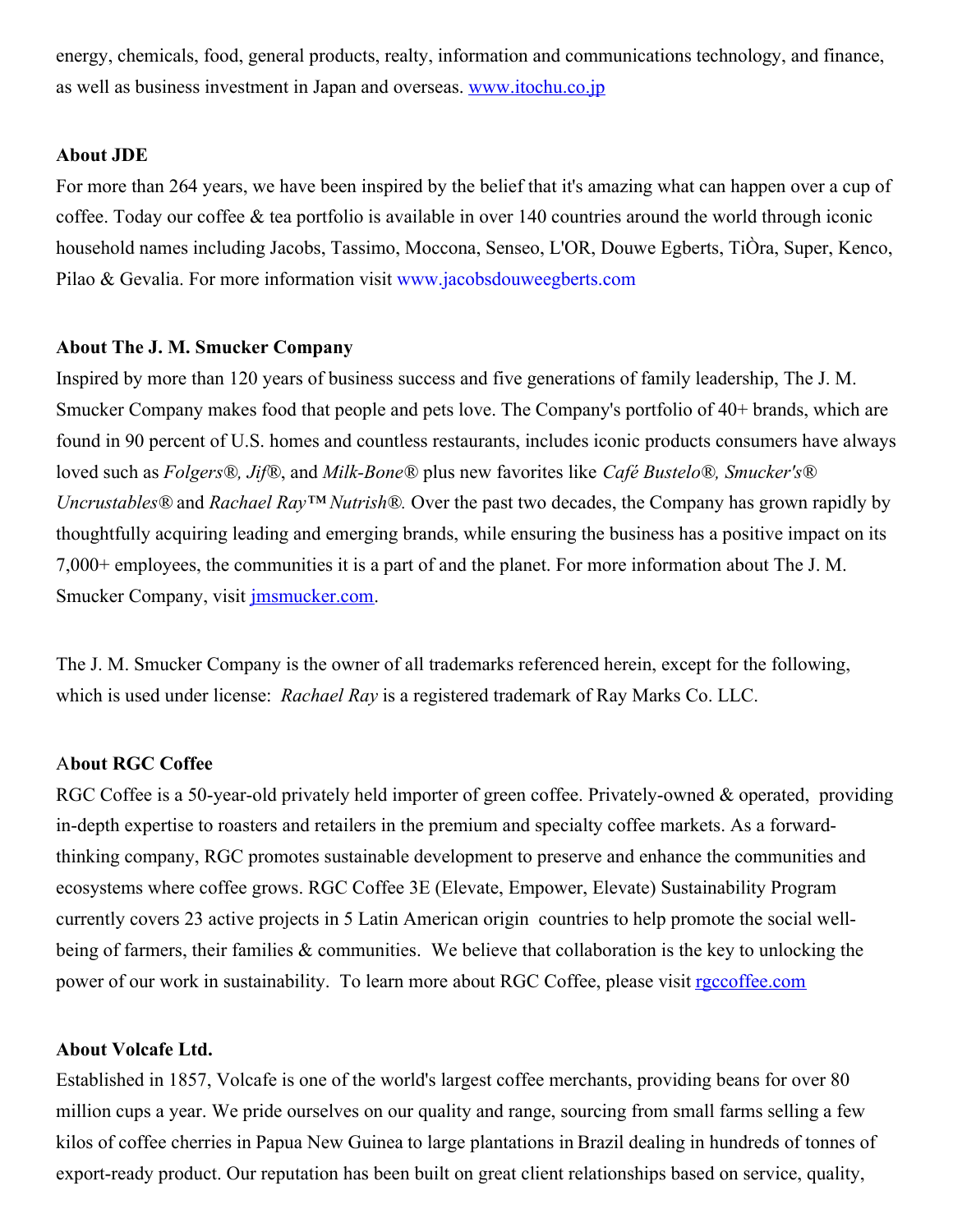energy, chemicals, food, general products, realty, information and communications technology, and finance, as well as business investment in Japan and overseas. [www.itochu.co.jp](https://c212.net/c/link/?t=0&l=en&o=2682221-1&h=1830616218&u=http%3A%2F%2Fwww.itochu.co.jp%2F&a=www.itochu.co.jp)

#### **About JDE**

For more than 264 years, we have been inspired by the belief that it's amazing what can happen over a cup of coffee. Today our coffee & tea portfolio is available in over 140 countries around the world through iconic household names including Jacobs, Tassimo, Moccona, Senseo, L'OR, Douwe Egberts, TiÒra, Super, Kenco, Pilao & Gevalia. For more information visit [www.jacobsdouweegberts.com](https://c212.net/c/link/?t=0&l=en&o=2682221-1&h=307354404&u=http%3A%2F%2Fwww.jacobsdouweegberts.com%2F&a=www.jacobsdouweegberts.com)

#### **About The J. M. Smucker Company**

Inspired by more than 120 years of business success and five generations of family leadership, The J. M. Smucker Company makes food that people and pets love. The Company's portfolio of 40+ brands, which are found in 90 percent of U.S. homes and countless restaurants, includes iconic products consumers have always loved such as *Folgers®, Jif®*, and *Milk-Bone®* plus new favorites like *Café Bustelo®, Smucker's® Uncrustables®* and *Rachael Ray™ Nutrish®.* Over the past two decades, the Company has grown rapidly by thoughtfully acquiring leading and emerging brands, while ensuring the business has a positive impact on its 7,000+ employees, the communities it is a part of and the planet. For more information about The J. M. Smucker Company, visit *imsmucker.com.* 

The J. M. Smucker Company is the owner of all trademarks referenced herein, except for the following, which is used under license: *Rachael Ray* is a registered trademark of Ray Marks Co. LLC.

## A**bout RGC Coffee**

RGC Coffee is a 50-year-old privately held importer of green coffee. Privately-owned & operated, providing in-depth expertise to roasters and retailers in the premium and specialty coffee markets. As a forwardthinking company, RGC promotes sustainable development to preserve and enhance the communities and ecosystems where coffee grows. RGC Coffee 3E (Elevate, Empower, Elevate) Sustainability Program currently covers 23 active projects in 5 Latin American origin countries to help promote the social wellbeing of farmers, their families & communities. We believe that collaboration is the key to unlocking the power of our work in sustainability. To learn more about RGC Coffee, please visit recoffee.com

#### **About Volcafe Ltd.**

Established in 1857, Volcafe is one of the world's largest coffee merchants, providing beans for over 80 million cups a year. We pride ourselves on our quality and range, sourcing from small farms selling a few kilos of coffee cherries in Papua New Guinea to large plantations in Brazil dealing in hundreds of tonnes of export-ready product. Our reputation has been built on great client relationships based on service, quality,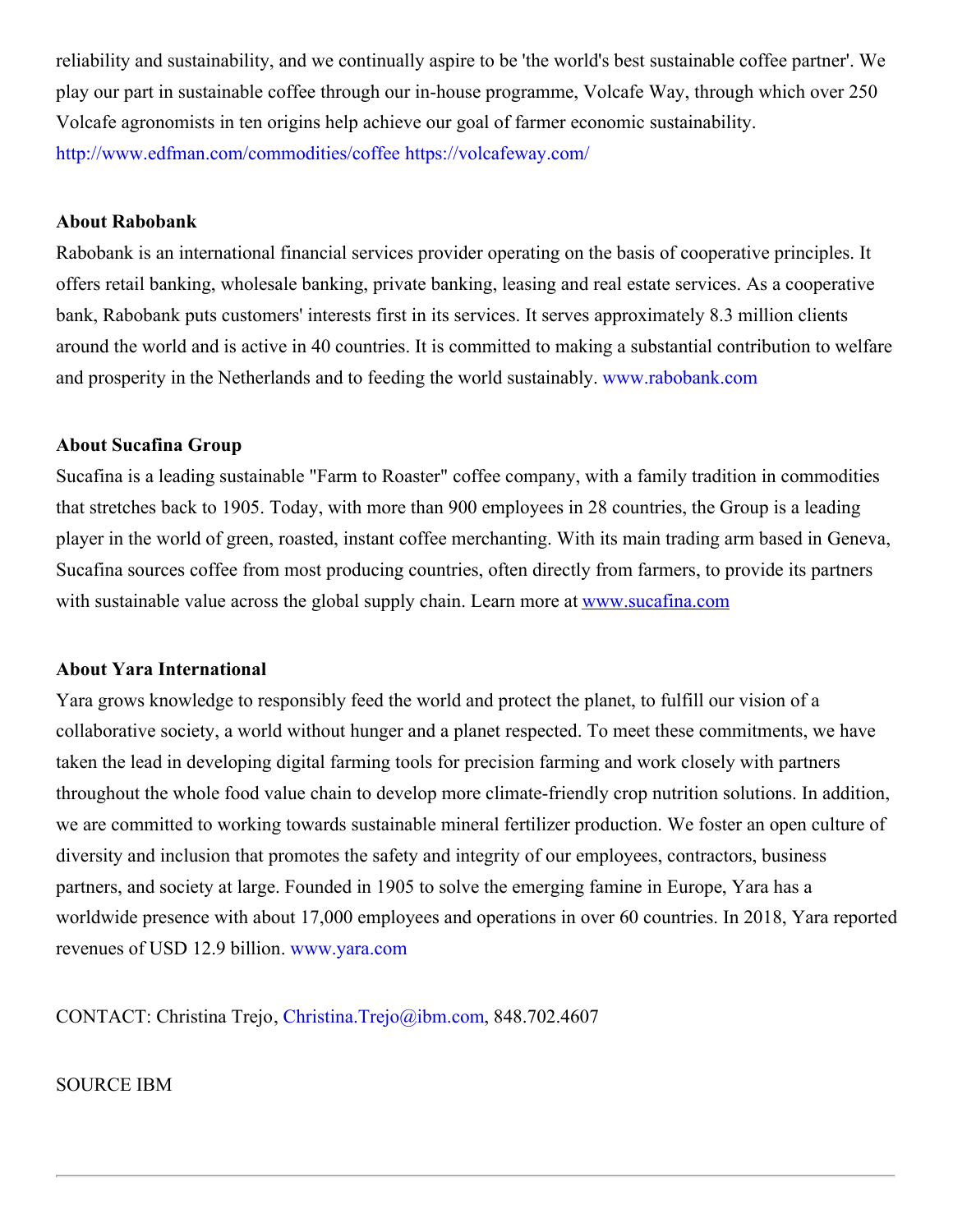reliability and sustainability, and we continually aspire to be 'the world's best sustainable coffee partner'. We play our part in sustainable coffee through our in-house programme, Volcafe Way, through which over 250 Volcafe agronomists in ten origins help achieve our goal of farmer economic sustainability. [http://www.edfman.com/commodities/coffee](https://c212.net/c/link/?t=0&l=en&o=2682221-1&h=2354761617&u=http%3A%2F%2Fwww.edfman.com%2Fcommodities%2Fcoffee&a=http%3A%2F%2Fwww.edfman.com%2Fcommodities%2Fcoffee) [https://volcafeway.com/](https://c212.net/c/link/?t=0&l=en&o=2682221-1&h=476033716&u=https%3A%2F%2Fvolcafeway.com%2F&a=https%3A%2F%2Fvolcafeway.com%2F)

## **About Rabobank**

Rabobank is an international financial services provider operating on the basis of cooperative principles. It offers retail banking, wholesale banking, private banking, leasing and real estate services. As a cooperative bank, Rabobank puts customers' interests first in its services. It serves approximately 8.3 million clients around the world and is active in 40 countries. It is committed to making a substantial contribution to welfare and prosperity in the Netherlands and to feeding the world sustainably. [www.rabobank.com](https://c212.net/c/link/?t=0&l=en&o=2682221-1&h=1917976833&u=http%3A%2F%2Fwww.rabobank.com%2F&a=www.rabobank.com)

## **About Sucafina Group**

Sucafina is a leading sustainable "Farm to Roaster" coffee company, with a family tradition in commodities that stretches back to 1905. Today, with more than 900 employees in 28 countries, the Group is a leading player in the world of green, roasted, instant coffee merchanting. With its main trading arm based in Geneva, Sucafina sources coffee from most producing countries, often directly from farmers, to provide its partners with sustainable value across the global supply chain. Learn more at [www.sucafina.com](https://c212.net/c/link/?t=0&l=en&o=2682221-1&h=322384278&u=http%3A%2F%2Fwww.sucafina.com%2F&a=www.sucafina.com)

## **About Yara International**

Yara grows knowledge to responsibly feed the world and protect the planet, to fulfill our vision of a collaborative society, a world without hunger and a planet respected. To meet these commitments, we have taken the lead in developing digital farming tools for precision farming and work closely with partners throughout the whole food value chain to develop more climate-friendly crop nutrition solutions. In addition, we are committed to working towards sustainable mineral fertilizer production. We foster an open culture of diversity and inclusion that promotes the safety and integrity of our employees, contractors, business partners, and society at large. Founded in 1905 to solve the emerging famine in Europe, Yara has a worldwide presence with about 17,000 employees and operations in over 60 countries. In 2018, Yara reported revenues of USD 12.9 billion. [www.yara.com](https://c212.net/c/link/?t=0&l=en&o=2682221-1&h=3675064906&u=http%3A%2F%2Fwww.yara.com%2F&a=www.yara.com)

CONTACT: Christina Trejo, [Christina.Trejo@ibm.com](mailto:Christina.Trejo@ibm.com), 848.702.4607

#### SOURCE IBM